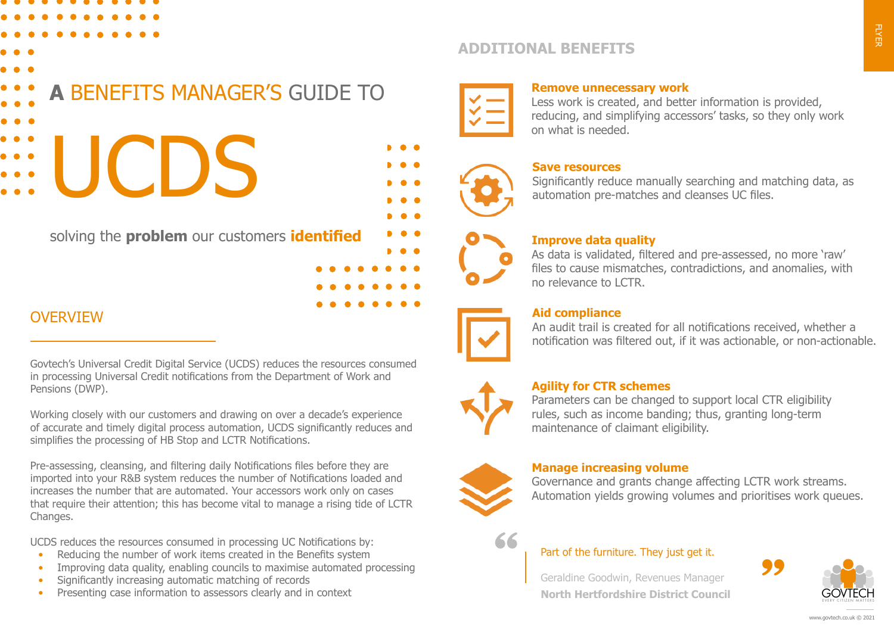- 
- 

## **A** BENEFITS MANAGER'S GUIDE TO

# UCDS

solving the **problem** our customers **identified**

#### **OVERVIEW**

Govtech's Universal Credit Digital Service (UCDS) reduces the resources consumed in processing Universal Credit notifications from the Department of Work and Pensions (DWP).

Working closely with our customers and drawing on over a decade's experience of accurate and timely digital process automation, UCDS significantly reduces and simplifies the processing of HB Stop and LCTR Notifications.

Pre-assessing, cleansing, and filtering daily Notifications files before they are imported into your R&B system reduces the number of Notifications loaded and increases the number that are automated. Your accessors work only on cases that require their attention; this has become vital to manage a rising tide of LCTR Changes.

UCDS reduces the resources consumed in processing UC Notifications by:

- Reducing the number of work items created in the Benefits system
- Improving data quality, enabling councils to maximise automated processing
- Significantly increasing automatic matching of records
- Presenting case information to assessors clearly and in context

#### **ADDITIONAL BENEFITS**



#### **Remove unnecessary work**

Less work is created, and better information is provided, reducing, and simplifying accessors' tasks, so they only work on what is needed.



#### **Save resources**

Significantly reduce manually searching and matching data, as automation pre-matches and cleanses UC files.

#### **Improve data quality**

As data is validated, filtered and pre-assessed, no more 'raw' files to cause mismatches, contradictions, and anomalies, with no relevance to LCTR.



#### **Aid compliance**

An audit trail is created for all notifications received, whether a notification was filtered out, if it was actionable, or non-actionable.



#### **Agility for CTR schemes**

Parameters can be changed to support local CTR eligibility rules, such as income banding; thus, granting long-term maintenance of claimant eligibility.



#### **Manage increasing volume**

Governance and grants change affecting LCTR work streams. Automation yields growing volumes and prioritises work queues.



#### Part of the furniture. They just get it.

Geraldine Goodwin, Revenues Manager **North Hertfordshire District Council**